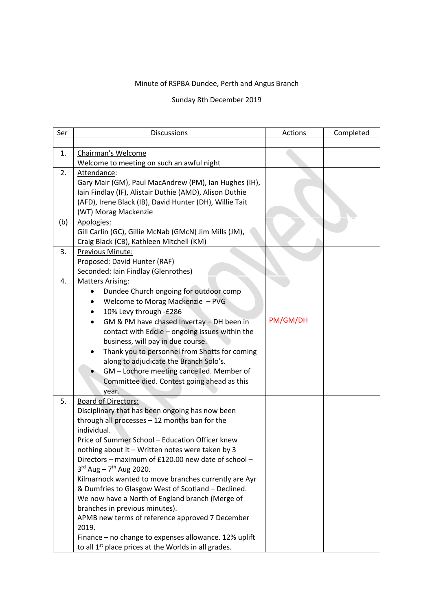## Minute of RSPBA Dundee, Perth and Angus Branch

## Sunday 8th December 2019

| Ser | <b>Discussions</b>                                                                                    | Actions  | Completed |
|-----|-------------------------------------------------------------------------------------------------------|----------|-----------|
|     |                                                                                                       |          |           |
| 1.  | Chairman's Welcome                                                                                    |          |           |
|     | Welcome to meeting on such an awful night                                                             |          |           |
| 2.  | Attendance:                                                                                           |          |           |
|     | Gary Mair (GM), Paul MacAndrew (PM), Ian Hughes (IH),                                                 |          |           |
|     | Iain Findlay (IF), Alistair Duthie (AMD), Alison Duthie                                               |          |           |
|     | (AFD), Irene Black (IB), David Hunter (DH), Willie Tait                                               |          |           |
|     | (WT) Morag Mackenzie                                                                                  |          |           |
| (b) | Apologies:                                                                                            |          |           |
|     | Gill Carlin (GC), Gillie McNab (GMcN) Jim Mills (JM),                                                 |          |           |
|     | Craig Black (CB), Kathleen Mitchell (KM)                                                              |          |           |
| 3.  | Previous Minute:                                                                                      |          |           |
|     | Proposed: David Hunter (RAF)                                                                          |          |           |
|     | Seconded: Iain Findlay (Glenrothes)                                                                   |          |           |
| 4.  | <b>Matters Arising:</b>                                                                               |          |           |
|     | Dundee Church ongoing for outdoor comp                                                                |          |           |
|     | Welcome to Morag Mackenzie - PVG                                                                      |          |           |
|     | 10% Levy through -£286<br>$\bullet$                                                                   |          |           |
|     | GM & PM have chased Invertay - DH been in<br>$\bullet$                                                | PM/GM/DH |           |
|     | contact with Eddie - ongoing issues within the                                                        |          |           |
|     | business, will pay in due course.                                                                     |          |           |
|     | Thank you to personnel from Shotts for coming                                                         |          |           |
|     | along to adjudicate the Branch Solo's.                                                                |          |           |
|     | GM - Lochore meeting cancelled. Member of                                                             |          |           |
|     | Committee died. Contest going ahead as this                                                           |          |           |
|     | year.                                                                                                 |          |           |
| 5.  | <b>Board of Directors:</b>                                                                            |          |           |
|     | Disciplinary that has been ongoing has now been                                                       |          |           |
|     | through all processes - 12 months ban for the                                                         |          |           |
|     | individual.                                                                                           |          |           |
|     | Price of Summer School - Education Officer knew                                                       |          |           |
|     | nothing about it – Written notes were taken by 3                                                      |          |           |
|     | Directors - maximum of £120.00 new date of school -                                                   |          |           |
|     | $3^{rd}$ Aug - $7^{th}$ Aug 2020.<br>Kilmarnock wanted to move branches currently are Ayr             |          |           |
|     |                                                                                                       |          |           |
|     | & Dumfries to Glasgow West of Scotland - Declined.<br>We now have a North of England branch (Merge of |          |           |
|     | branches in previous minutes).                                                                        |          |           |
|     | APMB new terms of reference approved 7 December                                                       |          |           |
|     | 2019.                                                                                                 |          |           |
|     | Finance - no change to expenses allowance. 12% uplift                                                 |          |           |
|     | to all 1 <sup>st</sup> place prices at the Worlds in all grades.                                      |          |           |
|     |                                                                                                       |          |           |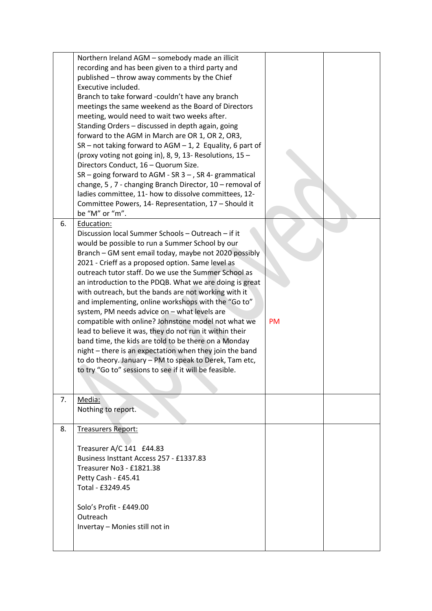|    | Northern Ireland AGM - somebody made an illicit<br>recording and has been given to a third party and<br>published – throw away comments by the Chief<br>Executive included.<br>Branch to take forward -couldn't have any branch<br>meetings the same weekend as the Board of Directors<br>meeting, would need to wait two weeks after.<br>Standing Orders - discussed in depth again, going<br>forward to the AGM in March are OR 1, OR 2, OR3,<br>$SR - not taking forward to AGM - 1, 2 Equality, 6 part of$<br>(proxy voting not going in), 8, 9, 13- Resolutions, 15 -<br>Directors Conduct, 16 - Quorum Size.<br>$SR$ – going forward to AGM - SR 3 – , SR 4- grammatical<br>change, 5, 7 - changing Branch Director, 10 - removal of<br>ladies committee, 11- how to dissolve committees, 12-<br>Committee Powers, 14- Representation, 17 - Should it<br>be "M" or "m". |           |  |
|----|-------------------------------------------------------------------------------------------------------------------------------------------------------------------------------------------------------------------------------------------------------------------------------------------------------------------------------------------------------------------------------------------------------------------------------------------------------------------------------------------------------------------------------------------------------------------------------------------------------------------------------------------------------------------------------------------------------------------------------------------------------------------------------------------------------------------------------------------------------------------------------|-----------|--|
| 6. | Education:<br>Discussion local Summer Schools - Outreach - if it<br>would be possible to run a Summer School by our<br>Branch - GM sent email today, maybe not 2020 possibly<br>2021 - Crieff as a proposed option. Same level as<br>outreach tutor staff. Do we use the Summer School as<br>an introduction to the PDQB. What we are doing is great<br>with outreach, but the bands are not working with it<br>and implementing, online workshops with the "Go to"<br>system, PM needs advice on - what levels are<br>compatible with online? Johnstone model not what we<br>lead to believe it was, they do not run it within their<br>band time, the kids are told to be there on a Monday<br>night - there is an expectation when they join the band<br>to do theory. January - PM to speak to Derek, Tam etc,<br>to try "Go to" sessions to see if it will be feasible.  | <b>PM</b> |  |
| 7. | Media:<br>Nothing to report.                                                                                                                                                                                                                                                                                                                                                                                                                                                                                                                                                                                                                                                                                                                                                                                                                                                  |           |  |
| 8. | <b>Treasurers Report:</b><br>Treasurer A/C 141 £44.83<br>Business Insttant Access 257 - £1337.83<br>Treasurer No3 - £1821.38<br>Petty Cash - £45.41<br>Total - £3249.45<br>Solo's Profit - £449.00<br>Outreach<br>Invertay - Monies still not in                                                                                                                                                                                                                                                                                                                                                                                                                                                                                                                                                                                                                              |           |  |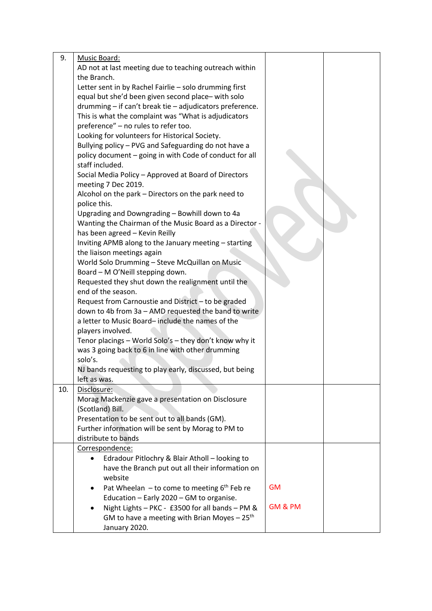| 9.  | Music Board:                                                                   |           |  |
|-----|--------------------------------------------------------------------------------|-----------|--|
|     | AD not at last meeting due to teaching outreach within                         |           |  |
|     | the Branch.                                                                    |           |  |
|     | Letter sent in by Rachel Fairlie - solo drumming first                         |           |  |
|     | equal but she'd been given second place-with solo                              |           |  |
|     | drumming - if can't break tie - adjudicators preference.                       |           |  |
|     | This is what the complaint was "What is adjudicators                           |           |  |
|     | preference" - no rules to refer too.                                           |           |  |
|     | Looking for volunteers for Historical Society.                                 |           |  |
|     | Bullying policy - PVG and Safeguarding do not have a                           |           |  |
|     | policy document - going in with Code of conduct for all                        |           |  |
|     | staff included.                                                                |           |  |
|     | Social Media Policy - Approved at Board of Directors                           |           |  |
|     | meeting 7 Dec 2019.                                                            |           |  |
|     | Alcohol on the park - Directors on the park need to                            |           |  |
|     | police this.                                                                   |           |  |
|     | Upgrading and Downgrading - Bowhill down to 4a                                 |           |  |
|     | Wanting the Chairman of the Music Board as a Director -                        |           |  |
|     | has been agreed - Kevin Reilly                                                 |           |  |
|     | Inviting APMB along to the January meeting - starting                          |           |  |
|     | the liaison meetings again                                                     |           |  |
|     | World Solo Drumming - Steve McQuillan on Music                                 |           |  |
|     | Board - M O'Neill stepping down.                                               |           |  |
|     | Requested they shut down the realignment until the                             |           |  |
|     | end of the season.                                                             |           |  |
|     | Request from Carnoustie and District - to be graded                            |           |  |
|     | down to 4b from 3a - AMD requested the band to write                           |           |  |
|     | a letter to Music Board-include the names of the                               |           |  |
|     | players involved.                                                              |           |  |
|     | Tenor placings - World Solo's - they don't know why it                         |           |  |
|     | was 3 going back to 6 in line with other drumming                              |           |  |
|     | solo's.                                                                        |           |  |
|     | NJ bands requesting to play early, discussed, but being                        |           |  |
|     | left as was.                                                                   |           |  |
| 10. | Disclosure:                                                                    |           |  |
|     | Morag Mackenzie gave a presentation on Disclosure                              |           |  |
|     | (Scotland) Bill.                                                               |           |  |
|     | Presentation to be sent out to all bands (GM).                                 |           |  |
|     | Further information will be sent by Morag to PM to<br>distribute to bands      |           |  |
|     |                                                                                |           |  |
|     | Correspondence:<br>Edradour Pitlochry & Blair Atholl - looking to<br>$\bullet$ |           |  |
|     | have the Branch put out all their information on                               |           |  |
|     | website                                                                        |           |  |
|     | Pat Wheelan $-$ to come to meeting $6th$ Feb re<br>٠                           | <b>GM</b> |  |
|     | Education - Early 2020 - GM to organise.                                       |           |  |
|     | Night Lights - PKC - £3500 for all bands - PM &<br>$\bullet$                   | GM & PM   |  |
|     | GM to have a meeting with Brian Moyes $-25th$                                  |           |  |
|     | January 2020.                                                                  |           |  |